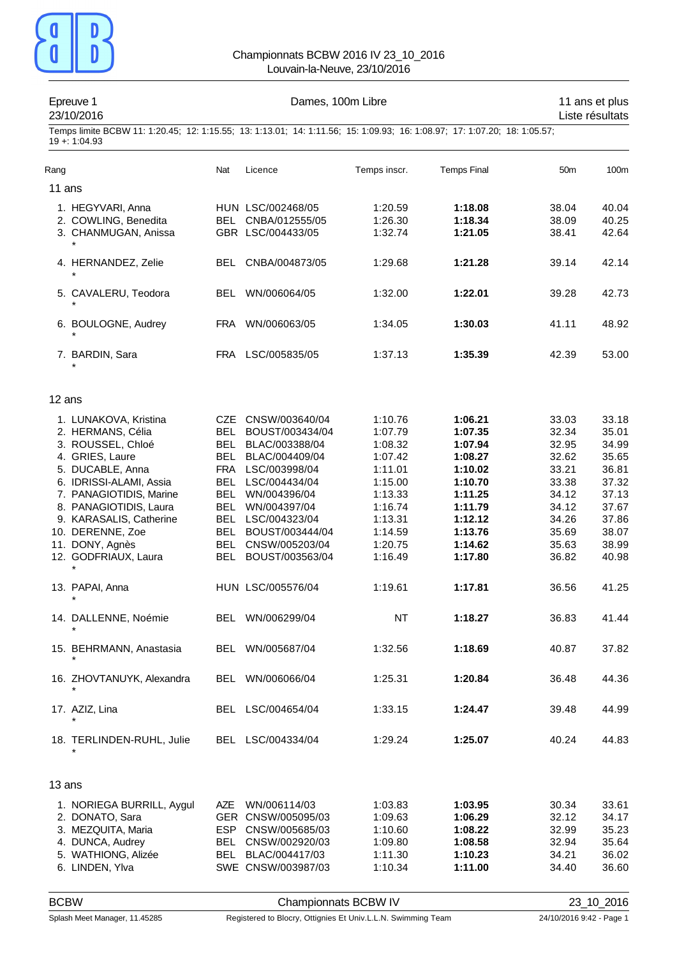

|        | Epreuve 1<br>23/10/2016                                                                                                                     |            | Dames, 100m Libre   |              | 11 ans et plus<br>Liste résultats |                 |       |
|--------|---------------------------------------------------------------------------------------------------------------------------------------------|------------|---------------------|--------------|-----------------------------------|-----------------|-------|
|        | Temps limite BCBW 11: 1:20.45; 12: 1:15.55; 13: 1:13.01; 14: 1:11.56; 15: 1:09.93; 16: 1:08.97; 17: 1:07.20; 18: 1:05.57;<br>$19 + 1:04.93$ |            |                     |              |                                   |                 |       |
| Rang   |                                                                                                                                             | Nat        | Licence             | Temps inscr. | <b>Temps Final</b>                | 50 <sub>m</sub> | 100m  |
| 11 ans |                                                                                                                                             |            |                     |              |                                   |                 |       |
|        | 1. HEGYVARI, Anna                                                                                                                           |            | HUN LSC/002468/05   | 1:20.59      | 1:18.08                           | 38.04           | 40.04 |
|        | 2. COWLING, Benedita                                                                                                                        |            | BEL CNBA/012555/05  | 1:26.30      | 1:18.34                           | 38.09           | 40.25 |
|        | 3. CHANMUGAN, Anissa                                                                                                                        |            | GBR LSC/004433/05   | 1:32.74      | 1:21.05                           | 38.41           | 42.64 |
|        |                                                                                                                                             |            |                     |              |                                   |                 |       |
|        | 4. HERNANDEZ, Zelie<br>$\star$                                                                                                              | BEL        | CNBA/004873/05      | 1:29.68      | 1:21.28                           | 39.14           | 42.14 |
|        | 5. CAVALERU, Teodora                                                                                                                        |            | BEL WN/006064/05    | 1:32.00      | 1:22.01                           | 39.28           | 42.73 |
|        |                                                                                                                                             |            |                     |              |                                   |                 |       |
|        | 6. BOULOGNE, Audrey                                                                                                                         | FRA        | WN/006063/05        | 1:34.05      | 1:30.03                           | 41.11           | 48.92 |
|        | 7. BARDIN, Sara                                                                                                                             | FRA        | LSC/005835/05       | 1:37.13      | 1:35.39                           | 42.39           | 53.00 |
| 12 ans |                                                                                                                                             |            |                     |              |                                   |                 |       |
|        | 1. LUNAKOVA, Kristina                                                                                                                       |            | CZE CNSW/003640/04  | 1:10.76      | 1:06.21                           | 33.03           | 33.18 |
|        | 2. HERMANS, Célia                                                                                                                           |            | BEL BOUST/003434/04 | 1:07.79      | 1:07.35                           | 32.34           | 35.01 |
|        | 3. ROUSSEL, Chloé                                                                                                                           |            | BEL BLAC/003388/04  | 1:08.32      | 1:07.94                           | 32.95           | 34.99 |
|        | 4. GRIES, Laure                                                                                                                             | BEL        | BLAC/004409/04      | 1:07.42      | 1:08.27                           | 32.62           | 35.65 |
|        | 5. DUCABLE, Anna                                                                                                                            |            | FRA LSC/003998/04   | 1:11.01      | 1:10.02                           | 33.21           | 36.81 |
|        | 6. IDRISSI-ALAMI, Assia                                                                                                                     |            | BEL LSC/004434/04   | 1:15.00      | 1:10.70                           | 33.38           | 37.32 |
|        | 7. PANAGIOTIDIS, Marine                                                                                                                     |            | BEL WN/004396/04    | 1:13.33      | 1:11.25                           | 34.12           | 37.13 |
|        | 8. PANAGIOTIDIS, Laura                                                                                                                      | BEL        | WN/004397/04        | 1:16.74      | 1:11.79                           | 34.12           | 37.67 |
|        | 9. KARASALIS, Catherine                                                                                                                     |            | BEL LSC/004323/04   | 1:13.31      | 1:12.12                           | 34.26           | 37.86 |
|        | 10. DERENNE, Zoe                                                                                                                            | BEL        | BOUST/003444/04     | 1:14.59      | 1:13.76                           | 35.69           | 38.07 |
|        | 11. DONY, Agnès                                                                                                                             | BEL        | CNSW/005203/04      | 1:20.75      | 1:14.62                           | 35.63           | 38.99 |
|        | 12. GODFRIAUX, Laura                                                                                                                        |            | BEL BOUST/003563/04 | 1:16.49      | 1:17.80                           | 36.82           | 40.98 |
|        | 13. PAPAI, Anna                                                                                                                             |            | HUN LSC/005576/04   | 1:19.61      | 1:17.81                           | 36.56           | 41.25 |
|        | 14. DALLENNE, Noémie                                                                                                                        |            | BEL WN/006299/04    | <b>NT</b>    | 1:18.27                           | 36.83           | 41.44 |
|        | 15. BEHRMANN, Anastasia                                                                                                                     |            | BEL WN/005687/04    | 1:32.56      | 1:18.69                           | 40.87           | 37.82 |
|        | 16. ZHOVTANUYK, Alexandra                                                                                                                   | <b>BEL</b> | WN/006066/04        | 1:25.31      | 1:20.84                           | 36.48           | 44.36 |
|        | 17. AZIZ, Lina                                                                                                                              |            | BEL LSC/004654/04   | 1:33.15      | 1:24.47                           | 39.48           | 44.99 |
|        | 18. TERLINDEN-RUHL, Julie                                                                                                                   |            | BEL LSC/004334/04   | 1:29.24      | 1:25.07                           | 40.24           | 44.83 |
| 13 ans |                                                                                                                                             |            |                     |              |                                   |                 |       |
|        | 1. NORIEGA BURRILL, Aygul                                                                                                                   | <b>AZE</b> | WN/006114/03        | 1:03.83      | 1:03.95                           | 30.34           | 33.61 |
|        | 2. DONATO, Sara                                                                                                                             |            | GER CNSW/005095/03  | 1:09.63      | 1:06.29                           | 32.12           | 34.17 |
|        | 3. MEZQUITA, Maria                                                                                                                          | ESP        | CNSW/005685/03      | 1:10.60      | 1:08.22                           | 32.99           | 35.23 |
|        | 4. DUNCA, Audrey                                                                                                                            | BEL        | CNSW/002920/03      | 1:09.80      | 1:08.58                           | 32.94           | 35.64 |
|        | 5. WATHIONG, Alizée                                                                                                                         |            | BEL BLAC/004417/03  | 1:11.30      | 1:10.23                           | 34.21           | 36.02 |
|        | 6. LINDEN, Ylva                                                                                                                             |            | SWE CNSW/003987/03  | 1:10.34      | 1:11.00                           | 34.40           | 36.60 |

BCBW Championnats BCBW IV 23\_10\_2016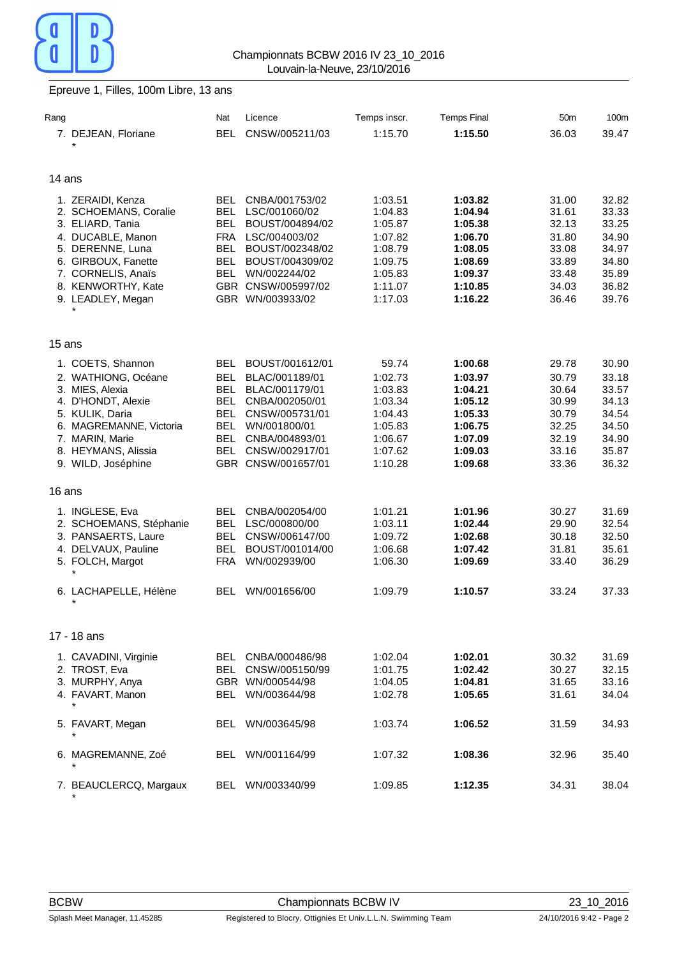

## Epreuve 1, Filles, 100m Libre, 13 ans

|                         | Nat                                                                                                                                                                                                                                                                                                                                                                                                                                                                                                | Licence                                                                                    | Temps inscr.                                                                                                                                                                                                                                                                                                                                                                                                         | <b>Temps Final</b>                                                                                                                                                         | 50 <sub>m</sub>                                                                                                                                                              | 100m                                                                                                                                                           |
|-------------------------|----------------------------------------------------------------------------------------------------------------------------------------------------------------------------------------------------------------------------------------------------------------------------------------------------------------------------------------------------------------------------------------------------------------------------------------------------------------------------------------------------|--------------------------------------------------------------------------------------------|----------------------------------------------------------------------------------------------------------------------------------------------------------------------------------------------------------------------------------------------------------------------------------------------------------------------------------------------------------------------------------------------------------------------|----------------------------------------------------------------------------------------------------------------------------------------------------------------------------|------------------------------------------------------------------------------------------------------------------------------------------------------------------------------|----------------------------------------------------------------------------------------------------------------------------------------------------------------|
| 7. DEJEAN, Floriane     | <b>BEL</b>                                                                                                                                                                                                                                                                                                                                                                                                                                                                                         | CNSW/005211/03                                                                             | 1:15.70                                                                                                                                                                                                                                                                                                                                                                                                              | 1:15.50                                                                                                                                                                    | 36.03                                                                                                                                                                        | 39.47                                                                                                                                                          |
|                         |                                                                                                                                                                                                                                                                                                                                                                                                                                                                                                    |                                                                                            |                                                                                                                                                                                                                                                                                                                                                                                                                      |                                                                                                                                                                            |                                                                                                                                                                              |                                                                                                                                                                |
|                         |                                                                                                                                                                                                                                                                                                                                                                                                                                                                                                    |                                                                                            |                                                                                                                                                                                                                                                                                                                                                                                                                      |                                                                                                                                                                            |                                                                                                                                                                              |                                                                                                                                                                |
| 14 ans                  |                                                                                                                                                                                                                                                                                                                                                                                                                                                                                                    |                                                                                            |                                                                                                                                                                                                                                                                                                                                                                                                                      |                                                                                                                                                                            |                                                                                                                                                                              |                                                                                                                                                                |
|                         |                                                                                                                                                                                                                                                                                                                                                                                                                                                                                                    |                                                                                            |                                                                                                                                                                                                                                                                                                                                                                                                                      |                                                                                                                                                                            |                                                                                                                                                                              | 32.82                                                                                                                                                          |
|                         |                                                                                                                                                                                                                                                                                                                                                                                                                                                                                                    |                                                                                            |                                                                                                                                                                                                                                                                                                                                                                                                                      |                                                                                                                                                                            |                                                                                                                                                                              | 33.33                                                                                                                                                          |
|                         |                                                                                                                                                                                                                                                                                                                                                                                                                                                                                                    |                                                                                            |                                                                                                                                                                                                                                                                                                                                                                                                                      |                                                                                                                                                                            |                                                                                                                                                                              | 33.25                                                                                                                                                          |
|                         |                                                                                                                                                                                                                                                                                                                                                                                                                                                                                                    |                                                                                            |                                                                                                                                                                                                                                                                                                                                                                                                                      |                                                                                                                                                                            |                                                                                                                                                                              | 34.90                                                                                                                                                          |
|                         |                                                                                                                                                                                                                                                                                                                                                                                                                                                                                                    |                                                                                            | 1:08.79                                                                                                                                                                                                                                                                                                                                                                                                              |                                                                                                                                                                            |                                                                                                                                                                              | 34.97                                                                                                                                                          |
|                         | <b>BEL</b>                                                                                                                                                                                                                                                                                                                                                                                                                                                                                         | BOUST/004309/02                                                                            | 1:09.75                                                                                                                                                                                                                                                                                                                                                                                                              | 1:08.69                                                                                                                                                                    |                                                                                                                                                                              | 34.80                                                                                                                                                          |
|                         | <b>BEL</b>                                                                                                                                                                                                                                                                                                                                                                                                                                                                                         | WN/002244/02                                                                               | 1:05.83                                                                                                                                                                                                                                                                                                                                                                                                              | 1:09.37                                                                                                                                                                    | 33.48                                                                                                                                                                        | 35.89                                                                                                                                                          |
|                         |                                                                                                                                                                                                                                                                                                                                                                                                                                                                                                    |                                                                                            |                                                                                                                                                                                                                                                                                                                                                                                                                      |                                                                                                                                                                            |                                                                                                                                                                              | 36.82                                                                                                                                                          |
| 9. LEADLEY, Megan       |                                                                                                                                                                                                                                                                                                                                                                                                                                                                                                    |                                                                                            | 1:17.03                                                                                                                                                                                                                                                                                                                                                                                                              | 1:16.22                                                                                                                                                                    | 36.46                                                                                                                                                                        | 39.76                                                                                                                                                          |
|                         |                                                                                                                                                                                                                                                                                                                                                                                                                                                                                                    |                                                                                            |                                                                                                                                                                                                                                                                                                                                                                                                                      |                                                                                                                                                                            |                                                                                                                                                                              |                                                                                                                                                                |
|                         |                                                                                                                                                                                                                                                                                                                                                                                                                                                                                                    |                                                                                            |                                                                                                                                                                                                                                                                                                                                                                                                                      |                                                                                                                                                                            |                                                                                                                                                                              |                                                                                                                                                                |
| 15 ans                  |                                                                                                                                                                                                                                                                                                                                                                                                                                                                                                    |                                                                                            |                                                                                                                                                                                                                                                                                                                                                                                                                      |                                                                                                                                                                            |                                                                                                                                                                              |                                                                                                                                                                |
|                         | BEL.                                                                                                                                                                                                                                                                                                                                                                                                                                                                                               |                                                                                            |                                                                                                                                                                                                                                                                                                                                                                                                                      | 1:00.68                                                                                                                                                                    | 29.78                                                                                                                                                                        | 30.90                                                                                                                                                          |
|                         |                                                                                                                                                                                                                                                                                                                                                                                                                                                                                                    |                                                                                            |                                                                                                                                                                                                                                                                                                                                                                                                                      |                                                                                                                                                                            |                                                                                                                                                                              | 33.18                                                                                                                                                          |
|                         | <b>BEL</b>                                                                                                                                                                                                                                                                                                                                                                                                                                                                                         |                                                                                            | 1:03.83                                                                                                                                                                                                                                                                                                                                                                                                              | 1:04.21                                                                                                                                                                    | 30.64                                                                                                                                                                        | 33.57                                                                                                                                                          |
|                         | <b>BEL</b>                                                                                                                                                                                                                                                                                                                                                                                                                                                                                         |                                                                                            | 1:03.34                                                                                                                                                                                                                                                                                                                                                                                                              | 1:05.12                                                                                                                                                                    | 30.99                                                                                                                                                                        | 34.13                                                                                                                                                          |
| 5. KULIK, Daria         | <b>BEL</b>                                                                                                                                                                                                                                                                                                                                                                                                                                                                                         | CNSW/005731/01                                                                             | 1:04.43                                                                                                                                                                                                                                                                                                                                                                                                              | 1:05.33                                                                                                                                                                    | 30.79                                                                                                                                                                        | 34.54                                                                                                                                                          |
| 6. MAGREMANNE, Victoria | <b>BEL</b>                                                                                                                                                                                                                                                                                                                                                                                                                                                                                         | WN/001800/01                                                                               | 1:05.83                                                                                                                                                                                                                                                                                                                                                                                                              | 1:06.75                                                                                                                                                                    | 32.25                                                                                                                                                                        | 34.50                                                                                                                                                          |
| 7. MARIN, Marie         | BEL                                                                                                                                                                                                                                                                                                                                                                                                                                                                                                | CNBA/004893/01                                                                             | 1:06.67                                                                                                                                                                                                                                                                                                                                                                                                              | 1:07.09                                                                                                                                                                    | 32.19                                                                                                                                                                        | 34.90                                                                                                                                                          |
| 8. HEYMANS, Alissia     | BEL.                                                                                                                                                                                                                                                                                                                                                                                                                                                                                               | CNSW/002917/01                                                                             | 1:07.62                                                                                                                                                                                                                                                                                                                                                                                                              | 1:09.03                                                                                                                                                                    | 33.16                                                                                                                                                                        | 35.87                                                                                                                                                          |
| 9. WILD, Joséphine      |                                                                                                                                                                                                                                                                                                                                                                                                                                                                                                    |                                                                                            | 1:10.28                                                                                                                                                                                                                                                                                                                                                                                                              | 1:09.68                                                                                                                                                                    | 33.36                                                                                                                                                                        | 36.32                                                                                                                                                          |
|                         |                                                                                                                                                                                                                                                                                                                                                                                                                                                                                                    |                                                                                            |                                                                                                                                                                                                                                                                                                                                                                                                                      |                                                                                                                                                                            |                                                                                                                                                                              |                                                                                                                                                                |
|                         |                                                                                                                                                                                                                                                                                                                                                                                                                                                                                                    |                                                                                            |                                                                                                                                                                                                                                                                                                                                                                                                                      |                                                                                                                                                                            |                                                                                                                                                                              |                                                                                                                                                                |
| 1. INGLESE, Eva         | <b>BEL</b>                                                                                                                                                                                                                                                                                                                                                                                                                                                                                         | CNBA/002054/00                                                                             | 1:01.21                                                                                                                                                                                                                                                                                                                                                                                                              | 1:01.96                                                                                                                                                                    | 30.27                                                                                                                                                                        | 31.69                                                                                                                                                          |
| 2. SCHOEMANS, Stéphanie | <b>BEL</b>                                                                                                                                                                                                                                                                                                                                                                                                                                                                                         | LSC/000800/00                                                                              |                                                                                                                                                                                                                                                                                                                                                                                                                      | 1:02.44                                                                                                                                                                    |                                                                                                                                                                              | 32.54                                                                                                                                                          |
| 3. PANSAERTS, Laure     | BEL.                                                                                                                                                                                                                                                                                                                                                                                                                                                                                               | CNSW/006147/00                                                                             | 1:09.72                                                                                                                                                                                                                                                                                                                                                                                                              | 1:02.68                                                                                                                                                                    | 30.18                                                                                                                                                                        | 32.50                                                                                                                                                          |
|                         | <b>BEL</b>                                                                                                                                                                                                                                                                                                                                                                                                                                                                                         | BOUST/001014/00                                                                            |                                                                                                                                                                                                                                                                                                                                                                                                                      |                                                                                                                                                                            |                                                                                                                                                                              | 35.61                                                                                                                                                          |
|                         |                                                                                                                                                                                                                                                                                                                                                                                                                                                                                                    |                                                                                            |                                                                                                                                                                                                                                                                                                                                                                                                                      |                                                                                                                                                                            |                                                                                                                                                                              | 36.29                                                                                                                                                          |
|                         |                                                                                                                                                                                                                                                                                                                                                                                                                                                                                                    |                                                                                            |                                                                                                                                                                                                                                                                                                                                                                                                                      |                                                                                                                                                                            |                                                                                                                                                                              |                                                                                                                                                                |
|                         |                                                                                                                                                                                                                                                                                                                                                                                                                                                                                                    |                                                                                            |                                                                                                                                                                                                                                                                                                                                                                                                                      |                                                                                                                                                                            |                                                                                                                                                                              | 37.33                                                                                                                                                          |
|                         |                                                                                                                                                                                                                                                                                                                                                                                                                                                                                                    |                                                                                            |                                                                                                                                                                                                                                                                                                                                                                                                                      |                                                                                                                                                                            |                                                                                                                                                                              |                                                                                                                                                                |
| 17 - 18 ans             |                                                                                                                                                                                                                                                                                                                                                                                                                                                                                                    |                                                                                            |                                                                                                                                                                                                                                                                                                                                                                                                                      |                                                                                                                                                                            |                                                                                                                                                                              |                                                                                                                                                                |
|                         |                                                                                                                                                                                                                                                                                                                                                                                                                                                                                                    |                                                                                            |                                                                                                                                                                                                                                                                                                                                                                                                                      |                                                                                                                                                                            |                                                                                                                                                                              | 31.69                                                                                                                                                          |
|                         |                                                                                                                                                                                                                                                                                                                                                                                                                                                                                                    |                                                                                            |                                                                                                                                                                                                                                                                                                                                                                                                                      |                                                                                                                                                                            |                                                                                                                                                                              | 32.15                                                                                                                                                          |
|                         |                                                                                                                                                                                                                                                                                                                                                                                                                                                                                                    |                                                                                            |                                                                                                                                                                                                                                                                                                                                                                                                                      |                                                                                                                                                                            |                                                                                                                                                                              | 33.16                                                                                                                                                          |
|                         |                                                                                                                                                                                                                                                                                                                                                                                                                                                                                                    |                                                                                            |                                                                                                                                                                                                                                                                                                                                                                                                                      |                                                                                                                                                                            |                                                                                                                                                                              | 34.04                                                                                                                                                          |
|                         |                                                                                                                                                                                                                                                                                                                                                                                                                                                                                                    |                                                                                            |                                                                                                                                                                                                                                                                                                                                                                                                                      |                                                                                                                                                                            |                                                                                                                                                                              |                                                                                                                                                                |
|                         |                                                                                                                                                                                                                                                                                                                                                                                                                                                                                                    |                                                                                            | 1:03.74                                                                                                                                                                                                                                                                                                                                                                                                              |                                                                                                                                                                            | 31.59                                                                                                                                                                        | 34.93                                                                                                                                                          |
|                         |                                                                                                                                                                                                                                                                                                                                                                                                                                                                                                    |                                                                                            |                                                                                                                                                                                                                                                                                                                                                                                                                      |                                                                                                                                                                            |                                                                                                                                                                              |                                                                                                                                                                |
|                         |                                                                                                                                                                                                                                                                                                                                                                                                                                                                                                    |                                                                                            | 1:07.32                                                                                                                                                                                                                                                                                                                                                                                                              | 1:08.36                                                                                                                                                                    |                                                                                                                                                                              | 35.40                                                                                                                                                          |
|                         |                                                                                                                                                                                                                                                                                                                                                                                                                                                                                                    |                                                                                            |                                                                                                                                                                                                                                                                                                                                                                                                                      |                                                                                                                                                                            |                                                                                                                                                                              |                                                                                                                                                                |
|                         |                                                                                                                                                                                                                                                                                                                                                                                                                                                                                                    |                                                                                            |                                                                                                                                                                                                                                                                                                                                                                                                                      |                                                                                                                                                                            |                                                                                                                                                                              | 38.04                                                                                                                                                          |
|                         |                                                                                                                                                                                                                                                                                                                                                                                                                                                                                                    |                                                                                            |                                                                                                                                                                                                                                                                                                                                                                                                                      |                                                                                                                                                                            |                                                                                                                                                                              |                                                                                                                                                                |
|                         | 1. ZERAIDI, Kenza<br>2. SCHOEMANS, Coralie<br>3. ELIARD, Tania<br>4. DUCABLE, Manon<br>5. DERENNE, Luna<br>6. GIRBOUX, Fanette<br>7. CORNELIS, Anaïs<br>8. KENWORTHY, Kate<br>1. COETS, Shannon<br>2. WATHIONG, Océane<br>3. MIES, Alexia<br>4. D'HONDT, Alexie<br>16 ans<br>4. DELVAUX, Pauline<br>5. FOLCH, Margot<br>6. LACHAPELLE, Hélène<br>1. CAVADINI, Virginie<br>2. TROST, Eva<br>3. MURPHY, Anya<br>4. FAVART, Manon<br>5. FAVART, Megan<br>6. MAGREMANNE, Zoé<br>7. BEAUCLERCQ, Margaux | BEL.<br>BEL<br><b>BEL</b><br><b>FRA</b><br><b>BEL</b><br>BEL.<br><b>FRA</b><br>BEL.<br>BEL | CNBA/001753/02<br>LSC/001060/02<br>BOUST/004894/02<br>LSC/004003/02<br>BOUST/002348/02<br>GBR CNSW/005997/02<br>GBR WN/003933/02<br>BOUST/001612/01<br>BLAC/001189/01<br>BLAC/001179/01<br>CNBA/002050/01<br>GBR CNSW/001657/01<br>WN/002939/00<br>WN/001656/00<br>CNBA/000486/98<br>BEL<br>BEL<br>CNSW/005150/99<br>GBR WN/000544/98<br>WN/003644/98<br>BEL<br>WN/003645/98<br>BEL WN/001164/99<br>BEL WN/003340/99 | 1:03.51<br>1:04.83<br>1:05.87<br>1:07.82<br>1:11.07<br>59.74<br>1:02.73<br>1:03.11<br>1:06.68<br>1:06.30<br>1:09.79<br>1:02.04<br>1:01.75<br>1:04.05<br>1:02.78<br>1:09.85 | 1:03.82<br>1:04.94<br>1:05.38<br>1:06.70<br>1:08.05<br>1:10.85<br>1:03.97<br>1:07.42<br>1:09.69<br>1:10.57<br>1:02.01<br>1:02.42<br>1:04.81<br>1:05.65<br>1:06.52<br>1:12.35 | 31.00<br>31.61<br>32.13<br>31.80<br>33.08<br>33.89<br>34.03<br>30.79<br>29.90<br>31.81<br>33.40<br>33.24<br>30.32<br>30.27<br>31.65<br>31.61<br>32.96<br>34.31 |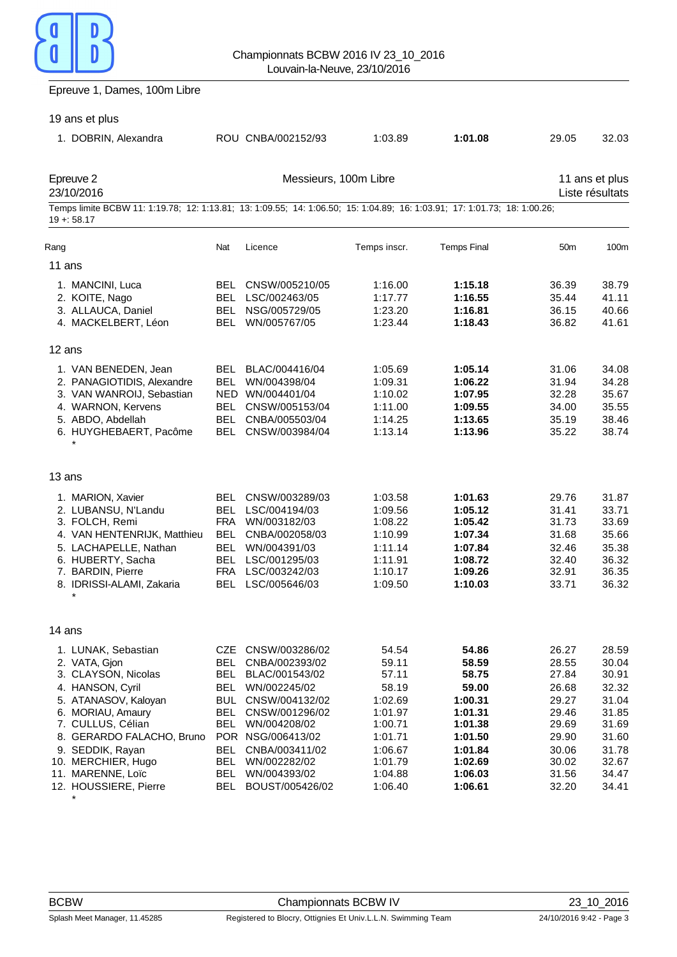### Epreuve 1, Dames, 100m Libre

| 19 ans et plus                                                                                                                                                                                                                                                         |                                                                                                |                                                                                                                                                                                                                  |                                                                                                                          |                                                                                                                          |                                                                                                          |                                                                                                          |
|------------------------------------------------------------------------------------------------------------------------------------------------------------------------------------------------------------------------------------------------------------------------|------------------------------------------------------------------------------------------------|------------------------------------------------------------------------------------------------------------------------------------------------------------------------------------------------------------------|--------------------------------------------------------------------------------------------------------------------------|--------------------------------------------------------------------------------------------------------------------------|----------------------------------------------------------------------------------------------------------|----------------------------------------------------------------------------------------------------------|
| 1. DOBRIN, Alexandra                                                                                                                                                                                                                                                   |                                                                                                | ROU CNBA/002152/93                                                                                                                                                                                               | 1:03.89                                                                                                                  | 1:01.08                                                                                                                  | 29.05                                                                                                    | 32.03                                                                                                    |
| Epreuve 2<br>23/10/2016                                                                                                                                                                                                                                                |                                                                                                | Messieurs, 100m Libre                                                                                                                                                                                            |                                                                                                                          |                                                                                                                          |                                                                                                          | 11 ans et plus<br>Liste résultats                                                                        |
| Temps limite BCBW 11: 1:19.78; 12: 1:13.81; 13: 1:09.55; 14: 1:06.50; 15: 1:04.89; 16: 1:03.91; 17: 1:01.73; 18: 1:00.26;<br>$19 + 58.17$                                                                                                                              |                                                                                                |                                                                                                                                                                                                                  |                                                                                                                          |                                                                                                                          |                                                                                                          |                                                                                                          |
| Rang                                                                                                                                                                                                                                                                   | Nat                                                                                            | Licence                                                                                                                                                                                                          | Temps inscr.                                                                                                             | <b>Temps Final</b>                                                                                                       | 50 <sub>m</sub>                                                                                          | 100 <sub>m</sub>                                                                                         |
| 11 ans                                                                                                                                                                                                                                                                 |                                                                                                |                                                                                                                                                                                                                  |                                                                                                                          |                                                                                                                          |                                                                                                          |                                                                                                          |
| 1. MANCINI, Luca<br>2. KOITE, Nago<br>3. ALLAUCA, Daniel<br>4. MACKELBERT, Léon                                                                                                                                                                                        | <b>BEL</b><br>BEL<br>BEL                                                                       | CNSW/005210/05<br>BEL LSC/002463/05<br>NSG/005729/05<br>WN/005767/05                                                                                                                                             | 1:16.00<br>1:17.77<br>1:23.20<br>1:23.44                                                                                 | 1:15.18<br>1:16.55<br>1:16.81<br>1:18.43                                                                                 | 36.39<br>35.44<br>36.15<br>36.82                                                                         | 38.79<br>41.11<br>40.66<br>41.61                                                                         |
| $12$ ans                                                                                                                                                                                                                                                               |                                                                                                |                                                                                                                                                                                                                  |                                                                                                                          |                                                                                                                          |                                                                                                          |                                                                                                          |
| 1. VAN BENEDEN, Jean<br>2. PANAGIOTIDIS, Alexandre<br>3. VAN WANROIJ, Sebastian<br>4. WARNON, Kervens<br>5. ABDO, Abdellah<br>6. HUYGHEBAERT, Pacôme                                                                                                                   | BEL<br>BEL<br>BEL                                                                              | BEL BLAC/004416/04<br>BEL WN/004398/04<br>NED WN/004401/04<br>CNSW/005153/04<br>CNBA/005503/04<br>CNSW/003984/04                                                                                                 | 1:05.69<br>1:09.31<br>1:10.02<br>1:11.00<br>1:14.25<br>1:13.14                                                           | 1:05.14<br>1:06.22<br>1:07.95<br>1:09.55<br>1:13.65<br>1:13.96                                                           | 31.06<br>31.94<br>32.28<br>34.00<br>35.19<br>35.22                                                       | 34.08<br>34.28<br>35.67<br>35.55<br>38.46<br>38.74                                                       |
| 13 ans                                                                                                                                                                                                                                                                 |                                                                                                |                                                                                                                                                                                                                  |                                                                                                                          |                                                                                                                          |                                                                                                          |                                                                                                          |
| 1. MARION, Xavier<br>2. LUBANSU, N'Landu<br>3. FOLCH, Remi<br>4. VAN HENTENRIJK, Matthieu<br>5. LACHAPELLE, Nathan<br>6. HUBERTY, Sacha<br>7. BARDIN, Pierre<br>8. IDRISSI-ALAMI, Zakaria<br>$\star$                                                                   | BEL<br>BEL<br>FRA<br><b>BEL</b><br><b>BEL</b><br>BEL<br><b>BEL</b>                             | CNSW/003289/03<br>LSC/004194/03<br>WN/003182/03<br>CNBA/002058/03<br>WN/004391/03<br>LSC/001295/03<br>FRA LSC/003242/03<br>LSC/005646/03                                                                         | 1:03.58<br>1:09.56<br>1:08.22<br>1:10.99<br>1:11.14<br>1:11.91<br>1:10.17<br>1:09.50                                     | 1:01.63<br>1:05.12<br>1:05.42<br>1:07.34<br>1:07.84<br>1:08.72<br>1:09.26<br>1:10.03                                     | 29.76<br>31.41<br>31.73<br>31.68<br>32.46<br>32.40<br>32.91<br>33.71                                     | 31.87<br>33.71<br>33.69<br>35.66<br>35.38<br>36.32<br>36.35<br>36.32                                     |
| 14 ans                                                                                                                                                                                                                                                                 |                                                                                                |                                                                                                                                                                                                                  |                                                                                                                          |                                                                                                                          |                                                                                                          |                                                                                                          |
| 1. LUNAK, Sebastian<br>2. VATA, Gjon<br>3. CLAYSON, Nicolas<br>4. HANSON, Cyril<br>5. ATANASOV, Kaloyan<br>6. MORIAU, Amaury<br>7. CULLUS, Célian<br>8. GERARDO FALACHO, Bruno<br>9. SEDDIK, Rayan<br>10. MERCHIER, Hugo<br>11. MARENNE, Loïc<br>12. HOUSSIERE, Pierre | CZE<br><b>BEL</b><br>BEL<br><b>BEL</b><br>BUL<br>BEL<br>BEL<br>BEL<br>BEL<br>BEL<br><b>BEL</b> | CNSW/003286/02<br>CNBA/002393/02<br>BLAC/001543/02<br>WN/002245/02<br>CNSW/004132/02<br>CNSW/001296/02<br>WN/004208/02<br>POR NSG/006413/02<br>CNBA/003411/02<br>WN/002282/02<br>WN/004393/02<br>BOUST/005426/02 | 54.54<br>59.11<br>57.11<br>58.19<br>1:02.69<br>1:01.97<br>1:00.71<br>1:01.71<br>1:06.67<br>1:01.79<br>1:04.88<br>1:06.40 | 54.86<br>58.59<br>58.75<br>59.00<br>1:00.31<br>1:01.31<br>1:01.38<br>1:01.50<br>1:01.84<br>1:02.69<br>1:06.03<br>1:06.61 | 26.27<br>28.55<br>27.84<br>26.68<br>29.27<br>29.46<br>29.69<br>29.90<br>30.06<br>30.02<br>31.56<br>32.20 | 28.59<br>30.04<br>30.91<br>32.32<br>31.04<br>31.85<br>31.69<br>31.60<br>31.78<br>32.67<br>34.47<br>34.41 |

*\**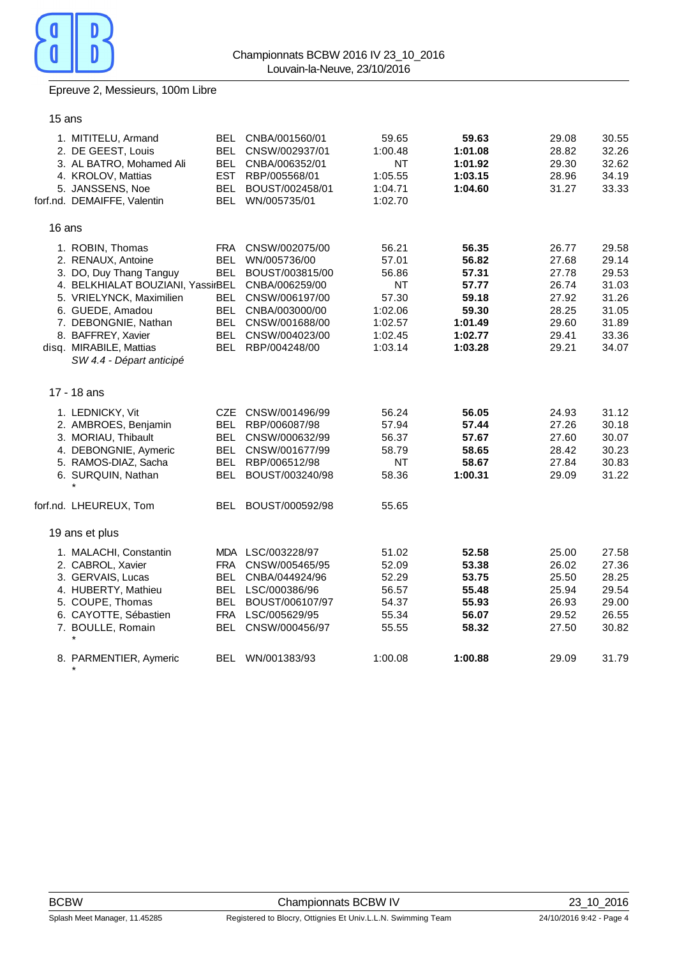

### Epreuve 2, Messieurs, 100m Libre

15 ans

|        | 1. MITITELU, Armand<br>2. DE GEEST, Louis<br>3. AL BATRO, Mohamed Ali<br>4. KROLOV, Mattias<br>5. JANSSENS, Noe<br>forf.nd. DEMAIFFE, Valentin                                                                                                              | BEL               | BEL CNBA/001560/01<br>CNSW/002937/01<br>BEL CNBA/006352/01<br>EST RBP/005568/01<br>BEL BOUST/002458/01<br>BEL WN/005735/01                                                       | 59.65<br>1:00.48<br><b>NT</b><br>1:05.55<br>1:04.71<br>1:02.70                     | 59.63<br>1:01.08<br>1:01.92<br>1:03.15<br>1:04.60                                   | 29.08<br>28.82<br>29.30<br>28.96<br>31.27                                     | 30.55<br>32.26<br>32.62<br>34.19<br>33.33                                     |
|--------|-------------------------------------------------------------------------------------------------------------------------------------------------------------------------------------------------------------------------------------------------------------|-------------------|----------------------------------------------------------------------------------------------------------------------------------------------------------------------------------|------------------------------------------------------------------------------------|-------------------------------------------------------------------------------------|-------------------------------------------------------------------------------|-------------------------------------------------------------------------------|
| 16 ans |                                                                                                                                                                                                                                                             |                   |                                                                                                                                                                                  |                                                                                    |                                                                                     |                                                                               |                                                                               |
|        | 1. ROBIN, Thomas<br>2. RENAUX, Antoine<br>3. DO, Duy Thang Tanguy<br>4. BELKHIALAT BOUZIANI, YassirBEL<br>5. VRIELYNCK, Maximilien<br>6. GUEDE, Amadou<br>7. DEBONGNIE, Nathan<br>8. BAFFREY, Xavier<br>disq. MIRABILE, Mattias<br>SW 4.4 - Départ anticipé | FRA<br>BEL<br>BEL | CNSW/002075/00<br>WN/005736/00<br>BOUST/003815/00<br>CNBA/006259/00<br>BEL CNSW/006197/00<br>BEL CNBA/003000/00<br>BEL CNSW/001688/00<br>BEL CNSW/004023/00<br>BEL RBP/004248/00 | 56.21<br>57.01<br>56.86<br>ΝT<br>57.30<br>1:02.06<br>1:02.57<br>1:02.45<br>1:03.14 | 56.35<br>56.82<br>57.31<br>57.77<br>59.18<br>59.30<br>1:01.49<br>1:02.77<br>1:03.28 | 26.77<br>27.68<br>27.78<br>26.74<br>27.92<br>28.25<br>29.60<br>29.41<br>29.21 | 29.58<br>29.14<br>29.53<br>31.03<br>31.26<br>31.05<br>31.89<br>33.36<br>34.07 |
|        | 17 - 18 ans                                                                                                                                                                                                                                                 |                   |                                                                                                                                                                                  |                                                                                    |                                                                                     |                                                                               |                                                                               |
|        | 1. LEDNICKY, Vit<br>2. AMBROES, Benjamin<br>3. MORIAU, Thibault<br>4. DEBONGNIE, Aymeric<br>5. RAMOS-DIAZ, Sacha<br>6. SURQUIN, Nathan                                                                                                                      |                   | CZE CNSW/001496/99<br>BEL RBP/006087/98<br>BEL CNSW/000632/99<br>BEL CNSW/001677/99<br>BEL RBP/006512/98<br>BEL BOUST/003240/98                                                  | 56.24<br>57.94<br>56.37<br>58.79<br><b>NT</b><br>58.36                             | 56.05<br>57.44<br>57.67<br>58.65<br>58.67<br>1:00.31                                | 24.93<br>27.26<br>27.60<br>28.42<br>27.84<br>29.09                            | 31.12<br>30.18<br>30.07<br>30.23<br>30.83<br>31.22                            |
|        | forf.nd. LHEUREUX, Tom                                                                                                                                                                                                                                      |                   | BEL BOUST/000592/98                                                                                                                                                              | 55.65                                                                              |                                                                                     |                                                                               |                                                                               |
|        | 19 ans et plus                                                                                                                                                                                                                                              |                   |                                                                                                                                                                                  |                                                                                    |                                                                                     |                                                                               |                                                                               |
|        | 1. MALACHI, Constantin<br>2. CABROL, Xavier<br>3. GERVAIS, Lucas<br>4. HUBERTY, Mathieu<br>5. COUPE, Thomas<br>6. CAYOTTE, Sébastien<br>7. BOULLE, Romain<br>$\star$                                                                                        | FRA<br>BEL        | MDA LSC/003228/97<br>CNSW/005465/95<br>CNBA/044924/96<br>BEL LSC/000386/96<br>BEL BOUST/006107/97<br>FRA LSC/005629/95<br>BEL CNSW/000456/97                                     | 51.02<br>52.09<br>52.29<br>56.57<br>54.37<br>55.34<br>55.55                        | 52.58<br>53.38<br>53.75<br>55.48<br>55.93<br>56.07<br>58.32                         | 25.00<br>26.02<br>25.50<br>25.94<br>26.93<br>29.52<br>27.50                   | 27.58<br>27.36<br>28.25<br>29.54<br>29.00<br>26.55<br>30.82                   |
|        | 8. PARMENTIER, Aymeric                                                                                                                                                                                                                                      |                   | BEL WN/001383/93                                                                                                                                                                 | 1:00.08                                                                            | 1:00.88                                                                             | 29.09                                                                         | 31.79                                                                         |
|        |                                                                                                                                                                                                                                                             |                   |                                                                                                                                                                                  |                                                                                    |                                                                                     |                                                                               |                                                                               |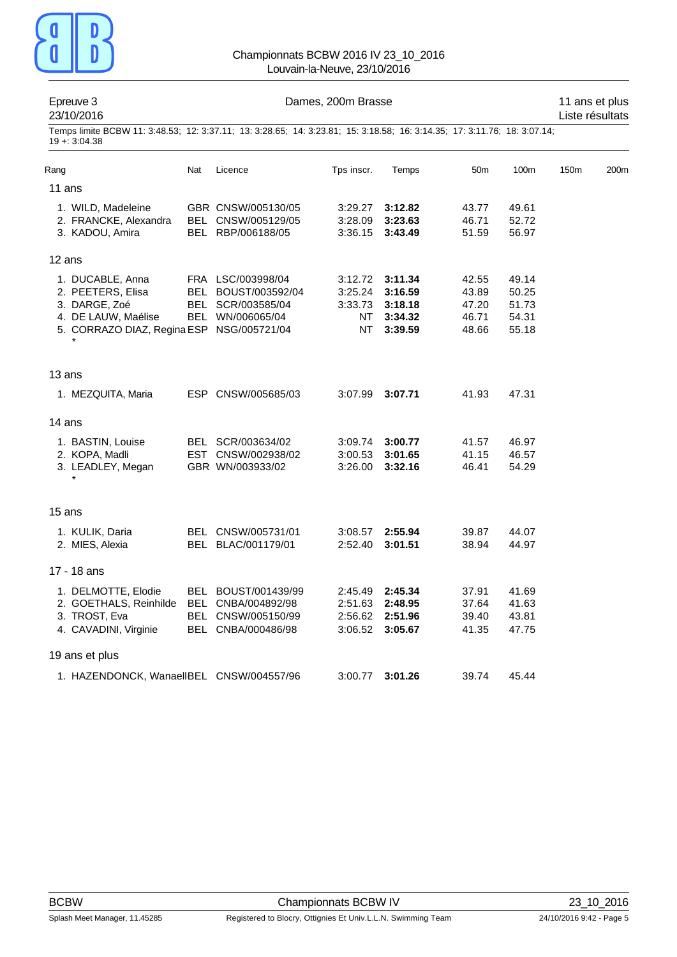

| Epreuve 3<br>23/10/2016                                                                                                                     |     | 11 ans et plus<br>Liste résultats                                                     |                                           |                                                     |                                           |                                           |      |      |
|---------------------------------------------------------------------------------------------------------------------------------------------|-----|---------------------------------------------------------------------------------------|-------------------------------------------|-----------------------------------------------------|-------------------------------------------|-------------------------------------------|------|------|
| Temps limite BCBW 11: 3:48.53; 12: 3:37.11; 13: 3:28.65; 14: 3:23.81; 15: 3:18.58; 16: 3:14.35; 17: 3:11.76; 18: 3:07.14;<br>$19 + 3.04.38$ |     |                                                                                       |                                           |                                                     |                                           |                                           |      |      |
| Rang                                                                                                                                        | Nat | Licence                                                                               | Tps inscr.                                | Temps                                               | 50 <sub>m</sub>                           | 100m                                      | 150m | 200m |
| 11 ans                                                                                                                                      |     |                                                                                       |                                           |                                                     |                                           |                                           |      |      |
| 1. WILD, Madeleine<br>2. FRANCKE, Alexandra<br>3. KADOU, Amira                                                                              |     | GBR CNSW/005130/05<br>BEL CNSW/005129/05<br>BEL RBP/006188/05                         | 3:29.27<br>3:28.09<br>3:36.15             | 3:12.82<br>3:23.63<br>3:43.49                       | 43.77<br>46.71<br>51.59                   | 49.61<br>52.72<br>56.97                   |      |      |
| 12 ans                                                                                                                                      |     |                                                                                       |                                           |                                                     |                                           |                                           |      |      |
| 1. DUCABLE, Anna<br>2. PEETERS, Elisa<br>3. DARGE, Zoé<br>4. DE LAUW, Maélise<br>5. CORRAZO DIAZ, Regina ESP NSG/005721/04                  |     | FRA LSC/003998/04<br>BEL BOUST/003592/04<br>BEL SCR/003585/04<br>BEL WN/006065/04     | 3:12.72<br>3:25.24<br>3:33.73<br>NT<br>NT | 3:11.34<br>3:16.59<br>3:18.18<br>3:34.32<br>3:39.59 | 42.55<br>43.89<br>47.20<br>46.71<br>48.66 | 49.14<br>50.25<br>51.73<br>54.31<br>55.18 |      |      |
| 13 ans                                                                                                                                      |     |                                                                                       |                                           |                                                     |                                           |                                           |      |      |
| 1. MEZQUITA, Maria                                                                                                                          |     | ESP CNSW/005685/03                                                                    | 3:07.99                                   | 3:07.71                                             | 41.93                                     | 47.31                                     |      |      |
| 14 ans                                                                                                                                      |     |                                                                                       |                                           |                                                     |                                           |                                           |      |      |
| 1. BASTIN, Louise<br>2. KOPA, Madli<br>3. LEADLEY, Megan                                                                                    |     | BEL SCR/003634/02<br>EST CNSW/002938/02<br>GBR WN/003933/02                           | 3:09.74<br>3:00.53<br>3:26.00             | 3:00.77<br>3:01.65<br>3:32.16                       | 41.57<br>41.15<br>46.41                   | 46.97<br>46.57<br>54.29                   |      |      |
| 15 ans                                                                                                                                      |     |                                                                                       |                                           |                                                     |                                           |                                           |      |      |
| 1. KULIK, Daria<br>2. MIES, Alexia                                                                                                          |     | BEL CNSW/005731/01<br>BEL BLAC/001179/01                                              | 3:08.57<br>2:52.40                        | 2:55.94<br>3:01.51                                  | 39.87<br>38.94                            | 44.07<br>44.97                            |      |      |
| 17 - 18 ans                                                                                                                                 |     |                                                                                       |                                           |                                                     |                                           |                                           |      |      |
| 1. DELMOTTE, Elodie<br>2. GOETHALS, Reinhilde<br>3. TROST, Eva<br>4. CAVADINI, Virginie                                                     |     | BEL BOUST/001439/99<br>BEL CNBA/004892/98<br>BEL CNSW/005150/99<br>BEL CNBA/000486/98 | 2:45.49<br>2:51.63<br>2:56.62<br>3:06.52  | 2:45.34<br>2:48.95<br>2:51.96<br>3:05.67            | 37.91<br>37.64<br>39.40<br>41.35          | 41.69<br>41.63<br>43.81<br>47.75          |      |      |
| 19 ans et plus                                                                                                                              |     |                                                                                       |                                           |                                                     |                                           |                                           |      |      |
| 1. HAZENDONCK, WanaelIBEL CNSW/004557/96                                                                                                    |     |                                                                                       | 3:00.77                                   | 3:01.26                                             | 39.74                                     | 45.44                                     |      |      |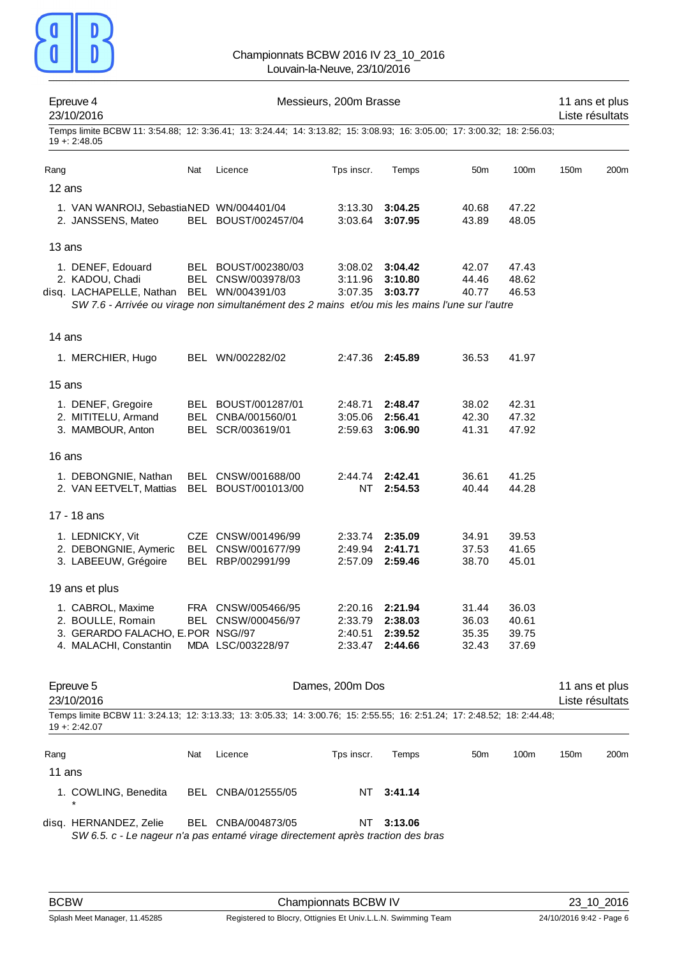

| Epreuve 4<br>23/10/2016 |                                                                |     |                                                                                                                           | Messieurs, 200m Brasse |                    |                 |                | 11 ans et plus<br>Liste résultats |      |
|-------------------------|----------------------------------------------------------------|-----|---------------------------------------------------------------------------------------------------------------------------|------------------------|--------------------|-----------------|----------------|-----------------------------------|------|
| $19 + 2.48.05$          |                                                                |     | Temps limite BCBW 11: 3:54.88; 12: 3:36.41; 13: 3:24.44; 14: 3:13.82; 15: 3:08.93; 16: 3:05.00; 17: 3:00.32; 18: 2:56.03; |                        |                    |                 |                |                                   |      |
| Rang                    |                                                                | Nat | Licence                                                                                                                   | Tps inscr.             | Temps              | 50 <sub>m</sub> | 100m           | 150m                              | 200m |
| 12 ans                  |                                                                |     |                                                                                                                           |                        |                    |                 |                |                                   |      |
|                         | 1. VAN WANROIJ, SebastiaNED WN/004401/04<br>2. JANSSENS, Mateo |     | BEL BOUST/002457/04                                                                                                       | 3:13.30<br>3:03.64     | 3:04.25<br>3:07.95 | 40.68<br>43.89  | 47.22<br>48.05 |                                   |      |
| 13 ans                  |                                                                |     |                                                                                                                           |                        |                    |                 |                |                                   |      |
|                         | 1. DENEF, Edouard                                              |     | BEL BOUST/002380/03                                                                                                       | 3:08.02                | 3:04.42            | 42.07           | 47.43          |                                   |      |
|                         | 2. KADOU, Chadi                                                |     | BEL CNSW/003978/03                                                                                                        | 3:11.96                | 3:10.80            | 44.46           | 48.62          |                                   |      |
|                         | disq. LACHAPELLE, Nathan BEL WN/004391/03                      |     | SW 7.6 - Arrivée ou virage non simultanément des 2 mains et/ou mis les mains l'une sur l'autre                            | 3:07.35                | 3:03.77            | 40.77           | 46.53          |                                   |      |
| 14 ans                  |                                                                |     |                                                                                                                           |                        |                    |                 |                |                                   |      |
|                         | 1. MERCHIER, Hugo                                              |     | BEL WN/002282/02                                                                                                          | 2:47.36                | 2:45.89            | 36.53           | 41.97          |                                   |      |
| 15 ans                  |                                                                |     |                                                                                                                           |                        |                    |                 |                |                                   |      |
|                         | 1. DENEF, Gregoire                                             |     | BEL BOUST/001287/01                                                                                                       | 2:48.71                | 2:48.47            | 38.02           | 42.31          |                                   |      |
|                         | 2. MITITELU, Armand                                            |     | BEL CNBA/001560/01                                                                                                        | 3:05.06                | 2:56.41            | 42.30           | 47.32          |                                   |      |
|                         | 3. MAMBOUR, Anton                                              |     | BEL SCR/003619/01                                                                                                         | 2:59.63                | 3:06.90            | 41.31           | 47.92          |                                   |      |
| 16 ans                  |                                                                |     |                                                                                                                           |                        |                    |                 |                |                                   |      |
|                         | 1. DEBONGNIE, Nathan<br>2. VAN EETVELT, Mattias                |     | BEL CNSW/001688/00<br>BEL BOUST/001013/00                                                                                 | 2:44.74<br>NT          | 2:42.41<br>2:54.53 | 36.61<br>40.44  | 41.25<br>44.28 |                                   |      |
| 17 - 18 ans             |                                                                |     |                                                                                                                           |                        |                    |                 |                |                                   |      |
|                         | 1. LEDNICKY, Vit                                               |     | CZE CNSW/001496/99                                                                                                        | 2:33.74                | 2:35.09            | 34.91           | 39.53          |                                   |      |
|                         | 2. DEBONGNIE, Aymeric                                          |     | BEL CNSW/001677/99                                                                                                        | 2:49.94                | 2:41.71            | 37.53           | 41.65          |                                   |      |
|                         | 3. LABEEUW, Grégoire                                           |     | BEL RBP/002991/99                                                                                                         | 2:57.09                | 2:59.46            | 38.70           | 45.01          |                                   |      |
| 19 ans et plus          |                                                                |     |                                                                                                                           |                        |                    |                 |                |                                   |      |
|                         | 1. CABROL, Maxime                                              |     | FRA CNSW/005466/95                                                                                                        | 2:20.16                | 2:21.94            | 31.44           | 36.03          |                                   |      |
|                         | 2. BOULLE, Romain<br>3. GERARDO FALACHO, E.POR NSG//97         |     | BEL CNSW/000456/97                                                                                                        | 2:33.79<br>2:40.51     | 2:38.03<br>2:39.52 | 36.03<br>35.35  | 40.61<br>39.75 |                                   |      |
|                         | 4. MALACHI, Constantin                                         |     | MDA LSC/003228/97                                                                                                         | 2:33.47                | 2:44.66            | 32.43           | 37.69          |                                   |      |
|                         |                                                                |     |                                                                                                                           |                        |                    |                 |                |                                   |      |
| Epreuve 5<br>23/10/2016 |                                                                |     |                                                                                                                           | Dames, 200m Dos        |                    |                 |                | 11 ans et plus<br>Liste résultats |      |
| $19 + 2:42.07$          |                                                                |     | Temps limite BCBW 11: 3:24.13; 12: 3:13.33; 13: 3:05.33; 14: 3:00.76; 15: 2:55.55; 16: 2:51.24; 17: 2:48.52; 18: 2:44.48; |                        |                    |                 |                |                                   |      |
| Rang                    |                                                                | Nat | Licence                                                                                                                   | Tps inscr.             | Temps              | 50 <sub>m</sub> | 100m           | 150m                              | 200m |
| 11 ans                  |                                                                |     |                                                                                                                           |                        |                    |                 |                |                                   |      |
|                         | 1. COWLING, Benedita                                           |     | BEL CNBA/012555/05                                                                                                        | NT.                    | 3:41.14            |                 |                |                                   |      |

BCBW Championnats BCBW IV 23\_10\_2016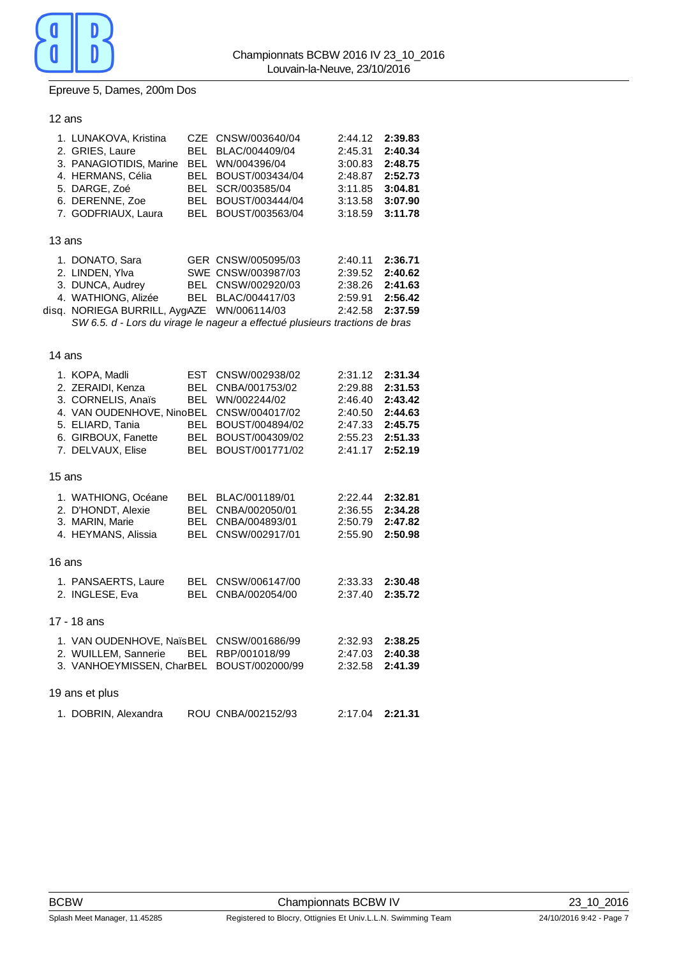

### Epreuve 5, Dames, 200m Dos

| 12 ans |                                                                                                                                                        |                                                               |                                                                                                                                                                     |                                                                           |                                                                           |
|--------|--------------------------------------------------------------------------------------------------------------------------------------------------------|---------------------------------------------------------------|---------------------------------------------------------------------------------------------------------------------------------------------------------------------|---------------------------------------------------------------------------|---------------------------------------------------------------------------|
|        | 1. LUNAKOVA, Kristina<br>2. GRIES, Laure<br>3. PANAGIOTIDIS, Marine<br>4. HERMANS, Célia<br>5. DARGE, Zoé<br>6. DERENNE, Zoe<br>7. GODFRIAUX, Laura    | <b>BEL</b><br><b>BEL</b><br>BEL.<br><b>BEL</b><br>BEL.<br>BEL | CZE CNSW/003640/04<br>BLAC/004409/04<br>WN/004396/04<br>BOUST/003434/04<br>SCR/003585/04<br>BOUST/003444/04<br>BOUST/003563/04                                      | 2:44.12<br>2:45.31<br>3:00.83<br>2:48.87<br>3:11.85<br>3:13.58<br>3:18.59 | 2:39.83<br>2:40.34<br>2:48.75<br>2:52.73<br>3:04.81<br>3:07.90<br>3:11.78 |
| 13 ans |                                                                                                                                                        |                                                               |                                                                                                                                                                     |                                                                           |                                                                           |
|        | 1. DONATO, Sara<br>2. LINDEN, Ylva<br>3. DUNCA, Audrey<br>4. WATHIONG, Alizée<br>disq. NORIEGA BURRILL, AygAZE WN/006114/03                            |                                                               | GER CNSW/005095/03<br>SWE CNSW/003987/03<br>BEL CNSW/002920/03<br>BEL BLAC/004417/03<br>SW 6.5. d - Lors du virage le nageur a effectué plusieurs tractions de bras | 2:40.11<br>2:39.52<br>2:38.26<br>2:59.91<br>2:42.58                       | 2:36.71<br>2:40.62<br>2:41.63<br>2:56.42<br>2:37.59                       |
| 14 ans |                                                                                                                                                        |                                                               |                                                                                                                                                                     |                                                                           |                                                                           |
|        | 1. KOPA, Madli<br>2. ZERAIDI, Kenza<br>3. CORNELIS, Anaïs<br>4. VAN OUDENHOVE, NinoBEL<br>5. ELIARD, Tania<br>6. GIRBOUX, Fanette<br>7. DELVAUX, Elise | <b>EST</b><br>BEL.<br><b>BEL</b><br>BEL<br><b>BEL</b><br>BEL  | CNSW/002938/02<br>CNBA/001753/02<br>WN/002244/02<br>CNSW/004017/02<br>BOUST/004894/02<br>BOUST/004309/02<br>BOUST/001771/02                                         | 2:31.12<br>2:29.88<br>2:46.40<br>2:40.50<br>2:47.33<br>2:55.23<br>2:41.17 | 2:31.34<br>2:31.53<br>2:43.42<br>2:44.63<br>2:45.75<br>2:51.33<br>2:52.19 |
| 15 ans |                                                                                                                                                        |                                                               |                                                                                                                                                                     |                                                                           |                                                                           |
|        | 1. WATHIONG, Océane<br>2. D'HONDT, Alexie<br>3. MARIN, Marie<br>4. HEYMANS, Alissia                                                                    | BEL<br><b>BEL</b><br>BEL<br>BEL.                              | BLAC/001189/01<br>CNBA/002050/01<br>CNBA/004893/01<br>CNSW/002917/01                                                                                                | 2:22.44<br>2:36.55<br>2:50.79<br>2:55.90                                  | 2:32.81<br>2:34.28<br>2:47.82<br>2:50.98                                  |
| 16 ans |                                                                                                                                                        |                                                               |                                                                                                                                                                     |                                                                           |                                                                           |
|        | 1. PANSAERTS, Laure<br>2. INGLESE, Eva                                                                                                                 | BEL<br>BEL                                                    | CNSW/006147/00<br>CNBA/002054/00                                                                                                                                    | 2:33.33<br>2:37.40                                                        | 2:30.48<br>2:35.72                                                        |
|        | 17 - 18 ans                                                                                                                                            |                                                               |                                                                                                                                                                     |                                                                           |                                                                           |
|        | 1. VAN OUDENHOVE, Naïs BEL CNSW/001686/99<br>2. WUILLEM, Sannerie<br>3. VANHOEYMISSEN, CharBEL BOUST/002000/99                                         |                                                               | BEL RBP/001018/99                                                                                                                                                   | 2:32.93<br>2:47.03<br>2:32.58                                             | 2:38.25<br>2:40.38<br>2:41.39                                             |
|        | 19 ans et plus                                                                                                                                         |                                                               |                                                                                                                                                                     |                                                                           |                                                                           |
|        | 1. DOBRIN, Alexandra                                                                                                                                   |                                                               | ROU CNBA/002152/93                                                                                                                                                  | 2:17.04                                                                   | 2:21.31                                                                   |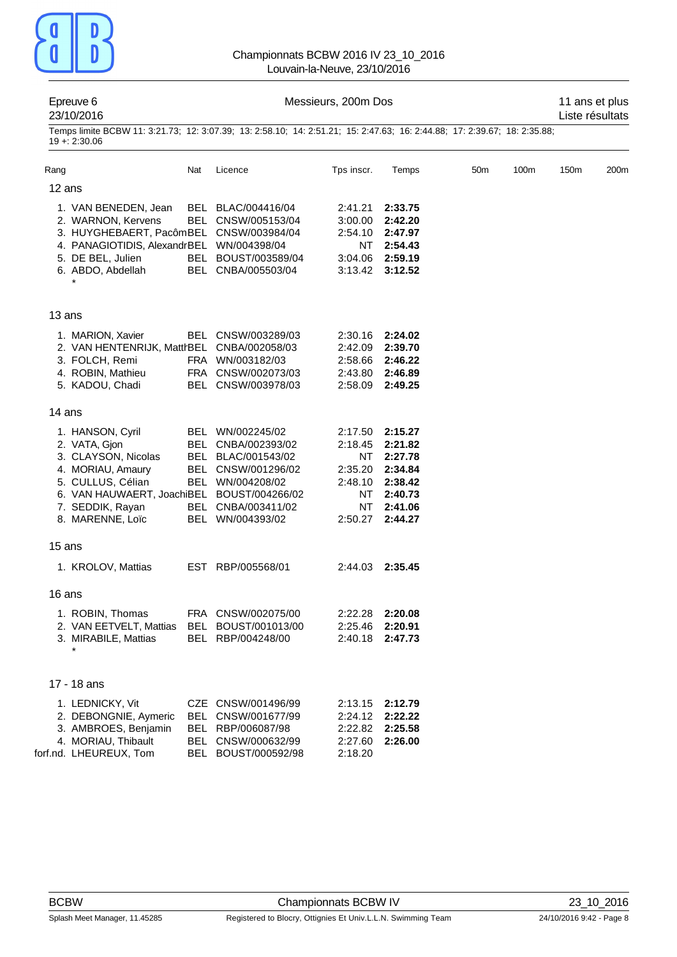

|        | Epreuve 6<br>23/10/2016                                                                                                                                                                  | Messieurs, 200m Dos |                                                                                                                                                  |                                                                       |                                                                                      |                 |      |                  | 11 ans et plus<br>Liste résultats |  |
|--------|------------------------------------------------------------------------------------------------------------------------------------------------------------------------------------------|---------------------|--------------------------------------------------------------------------------------------------------------------------------------------------|-----------------------------------------------------------------------|--------------------------------------------------------------------------------------|-----------------|------|------------------|-----------------------------------|--|
|        | Temps limite BCBW 11: 3:21.73; 12: 3:07.39; 13: 2:58.10; 14: 2:51.21; 15: 2:47.63; 16: 2:44.88; 17: 2:39.67; 18: 2:35.88;<br>$19 + 2.30.06$                                              |                     |                                                                                                                                                  |                                                                       |                                                                                      |                 |      |                  |                                   |  |
| Rang   |                                                                                                                                                                                          | Nat                 | Licence                                                                                                                                          | Tps inscr.                                                            | Temps                                                                                | 50 <sub>m</sub> | 100m | 150 <sub>m</sub> | 200 <sub>m</sub>                  |  |
| 12 ans |                                                                                                                                                                                          |                     |                                                                                                                                                  |                                                                       |                                                                                      |                 |      |                  |                                   |  |
|        | 1. VAN BENEDEN, Jean<br>2. WARNON, Kervens<br>3. HUYGHEBAERT, PacômBEL CNSW/003984/04<br>4. PANAGIOTIDIS, AlexandrBEL WN/004398/04<br>5. DE BEL, Julien<br>6. ABDO, Abdellah             |                     | BEL BLAC/004416/04<br>BEL CNSW/005153/04<br>BEL BOUST/003589/04<br>BEL CNBA/005503/04                                                            | 2:41.21<br>3:00.00<br>2:54.10<br>NT.<br>3:04.06<br>3:13.42            | 2:33.75<br>2:42.20<br>2:47.97<br>2:54.43<br>2:59.19<br>3:12.52                       |                 |      |                  |                                   |  |
| 13 ans |                                                                                                                                                                                          |                     |                                                                                                                                                  |                                                                       |                                                                                      |                 |      |                  |                                   |  |
|        | 1. MARION, Xavier<br>2. VAN HENTENRIJK, MattrBEL CNBA/002058/03<br>3. FOLCH, Remi<br>4. ROBIN, Mathieu<br>5. KADOU, Chadi                                                                |                     | BEL CNSW/003289/03<br>FRA WN/003182/03<br>FRA CNSW/002073/03<br>BEL CNSW/003978/03                                                               | 2:42.09<br>2:58.66<br>2:43.80<br>2:58.09                              | 2:30.16 2:24.02<br>2:39.70<br>2:46.22<br>2:46.89<br>2:49.25                          |                 |      |                  |                                   |  |
| 14 ans |                                                                                                                                                                                          |                     |                                                                                                                                                  |                                                                       |                                                                                      |                 |      |                  |                                   |  |
|        | 1. HANSON, Cyril<br>2. VATA, Gjon<br>3. CLAYSON, Nicolas<br>4. MORIAU, Amaury<br>5. CULLUS, Célian<br>6. VAN HAUWAERT, JoachiBEL BOUST/004266/02<br>7. SEDDIK, Rayan<br>8. MARENNE, Loïc |                     | BEL WN/002245/02<br>BEL CNBA/002393/02<br>BEL BLAC/001543/02<br>BEL CNSW/001296/02<br>BEL WN/004208/02<br>BEL CNBA/003411/02<br>BEL WN/004393/02 | 2:17.50<br>2:18.45<br>NT<br>2:35.20<br>2:48.10<br>NT<br>NT<br>2:50.27 | 2:15.27<br>2:21.82<br>2:27.78<br>2:34.84<br>2:38.42<br>2:40.73<br>2:41.06<br>2:44.27 |                 |      |                  |                                   |  |
| 15 ans |                                                                                                                                                                                          |                     |                                                                                                                                                  |                                                                       |                                                                                      |                 |      |                  |                                   |  |
|        | 1. KROLOV, Mattias                                                                                                                                                                       |                     | EST RBP/005568/01                                                                                                                                | 2:44.03 2:35.45                                                       |                                                                                      |                 |      |                  |                                   |  |
| 16 ans |                                                                                                                                                                                          |                     |                                                                                                                                                  |                                                                       |                                                                                      |                 |      |                  |                                   |  |
|        | 1. ROBIN, Thomas<br>2. VAN EETVELT, Mattias<br>3. MIRABILE, Mattias                                                                                                                      |                     | FRA CNSW/002075/00<br>BEL BOUST/001013/00<br>BEL RBP/004248/00                                                                                   | 2:22.28<br>2:25.46<br>2:40.18                                         | 2:20.08<br>2:20.91<br>2:47.73                                                        |                 |      |                  |                                   |  |
|        | 17 - 18 ans                                                                                                                                                                              |                     |                                                                                                                                                  |                                                                       |                                                                                      |                 |      |                  |                                   |  |
|        | 1. LEDNICKY, Vit<br>2. DEBONGNIE, Aymeric<br>3. AMBROES, Benjamin<br>4. MORIAU, Thibault<br>forf.nd. LHEUREUX, Tom                                                                       | BEL                 | CZE CNSW/001496/99<br>BEL CNSW/001677/99<br>BEL RBP/006087/98<br>BEL CNSW/000632/99<br>BOUST/000592/98                                           | 2:13.15<br>2:24.12<br>2:22.82<br>2:27.60<br>2:18.20                   | 2:12.79<br>2:22.22<br>2:25.58<br>2:26.00                                             |                 |      |                  |                                   |  |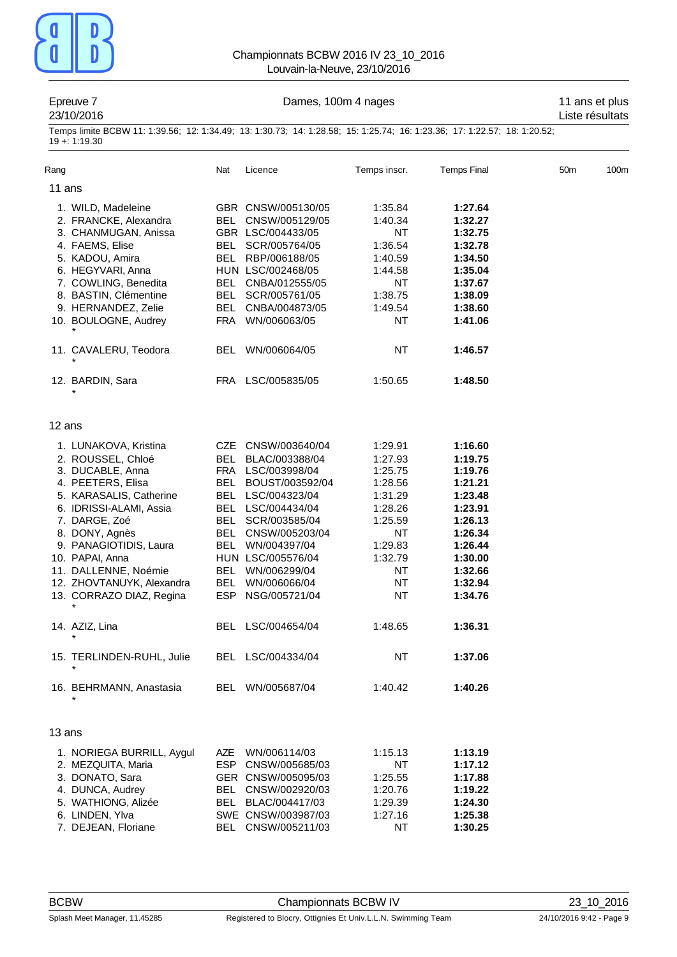

### Epreuve 7 **Dames, 100m 4 nages** 11 ans et plus

# 23/10/2016 Liste résultats

Temps limite BCBW 11: 1:39.56; 12: 1:34.49; 13: 1:30.73; 14: 1:28.58; 15: 1:25.74; 16: 1:23.36; 17: 1:22.57; 18: 1:20.52; 19 +: 1:19.30

| Rang                                                                                                                                                                                                                                                                                                                                                                                             | Nat                             | Licence                                                                                                                                                                                                                                                                                                                   | Temps inscr.                                                                                                                                        | <b>Temps Final</b>                                                                                                                                                           | 50 <sub>m</sub> | 100m |
|--------------------------------------------------------------------------------------------------------------------------------------------------------------------------------------------------------------------------------------------------------------------------------------------------------------------------------------------------------------------------------------------------|---------------------------------|---------------------------------------------------------------------------------------------------------------------------------------------------------------------------------------------------------------------------------------------------------------------------------------------------------------------------|-----------------------------------------------------------------------------------------------------------------------------------------------------|------------------------------------------------------------------------------------------------------------------------------------------------------------------------------|-----------------|------|
| 11 ans                                                                                                                                                                                                                                                                                                                                                                                           |                                 |                                                                                                                                                                                                                                                                                                                           |                                                                                                                                                     |                                                                                                                                                                              |                 |      |
| 1. WILD, Madeleine<br>2. FRANCKE, Alexandra<br>3. CHANMUGAN, Anissa<br>4. FAEMS, Elise<br>5. KADOU, Amira<br>6. HEGYVARI, Anna<br>7. COWLING, Benedita<br>8. BASTIN, Clémentine<br>9. HERNANDEZ, Zelie<br>10. BOULOGNE, Audrey                                                                                                                                                                   | BEL<br>BEL<br>BEL<br>FRA        | GBR CNSW/005130/05<br>BEL CNSW/005129/05<br>GBR LSC/004433/05<br>SCR/005764/05<br>RBP/006188/05<br>HUN LSC/002468/05<br>BEL CNBA/012555/05<br>BEL SCR/005761/05<br>CNBA/004873/05<br>WN/006063/05                                                                                                                         | 1:35.84<br>1:40.34<br>NT<br>1:36.54<br>1:40.59<br>1:44.58<br>NT<br>1:38.75<br>1:49.54<br>NT                                                         | 1:27.64<br>1:32.27<br>1:32.75<br>1:32.78<br>1:34.50<br>1:35.04<br>1:37.67<br>1:38.09<br>1:38.60<br>1:41.06                                                                   |                 |      |
| 11. CAVALERU, Teodora                                                                                                                                                                                                                                                                                                                                                                            | BEL.                            | WN/006064/05                                                                                                                                                                                                                                                                                                              | <b>NT</b>                                                                                                                                           | 1:46.57                                                                                                                                                                      |                 |      |
| 12. BARDIN, Sara                                                                                                                                                                                                                                                                                                                                                                                 |                                 | FRA LSC/005835/05                                                                                                                                                                                                                                                                                                         | 1:50.65                                                                                                                                             | 1:48.50                                                                                                                                                                      |                 |      |
| 12 ans                                                                                                                                                                                                                                                                                                                                                                                           |                                 |                                                                                                                                                                                                                                                                                                                           |                                                                                                                                                     |                                                                                                                                                                              |                 |      |
| 1. LUNAKOVA, Kristina<br>2. ROUSSEL, Chloé<br>3. DUCABLE, Anna<br>4. PEETERS, Elisa<br>5. KARASALIS, Catherine<br>6. IDRISSI-ALAMI, Assia<br>7. DARGE, Zoé<br>8. DONY, Agnès<br>9. PANAGIOTIDIS, Laura<br>10. PAPAI, Anna<br>11. DALLENNE, Noémie<br>12. ZHOVTANUYK, Alexandra<br>13. CORRAZO DIAZ, Regina<br>$^\star$<br>14. AZIZ, Lina<br>15. TERLINDEN-RUHL, Julie<br>16. BEHRMANN, Anastasia | BEL<br>BEL<br>BEL<br>BEL<br>BEL | CZE CNSW/003640/04<br>BLAC/003388/04<br>FRA LSC/003998/04<br>BEL BOUST/003592/04<br>BEL LSC/004323/04<br>BEL LSC/004434/04<br>SCR/003585/04<br>CNSW/005203/04<br>WN/004397/04<br>HUN LSC/005576/04<br>BEL WN/006299/04<br>WN/006066/04<br>ESP NSG/005721/04<br>BEL LSC/004654/04<br>BEL LSC/004334/04<br>BEL WN/005687/04 | 1:29.91<br>1:27.93<br>1:25.75<br>1:28.56<br>1:31.29<br>1:28.26<br>1:25.59<br>NT<br>1:29.83<br>1:32.79<br>NT<br>NT<br>NT<br>1:48.65<br>NT<br>1:40.42 | 1:16.60<br>1:19.75<br>1:19.76<br>1:21.21<br>1:23.48<br>1:23.91<br>1:26.13<br>1:26.34<br>1:26.44<br>1:30.00<br>1:32.66<br>1:32.94<br>1:34.76<br>1:36.31<br>1:37.06<br>1:40.26 |                 |      |
| 13 ans                                                                                                                                                                                                                                                                                                                                                                                           |                                 |                                                                                                                                                                                                                                                                                                                           |                                                                                                                                                     |                                                                                                                                                                              |                 |      |
| 1. NORIEGA BURRILL, Aygul<br>2. MEZQUITA, Maria<br>3. DONATO, Sara<br>4. DUNCA, Audrey<br>5. WATHIONG, Alizée<br>6. LINDEN, Ylva<br>7. DEJEAN, Floriane                                                                                                                                                                                                                                          | AZE<br>ESP<br>BEL<br>BEL        | WN/006114/03<br>CNSW/005685/03<br>GER CNSW/005095/03<br>CNSW/002920/03<br>BLAC/004417/03<br>SWE CNSW/003987/03<br>BEL CNSW/005211/03                                                                                                                                                                                      | 1:15.13<br>NT<br>1:25.55<br>1:20.76<br>1:29.39<br>1:27.16<br>NT                                                                                     | 1:13.19<br>1:17.12<br>1:17.88<br>1:19.22<br>1:24.30<br>1:25.38<br>1:30.25                                                                                                    |                 |      |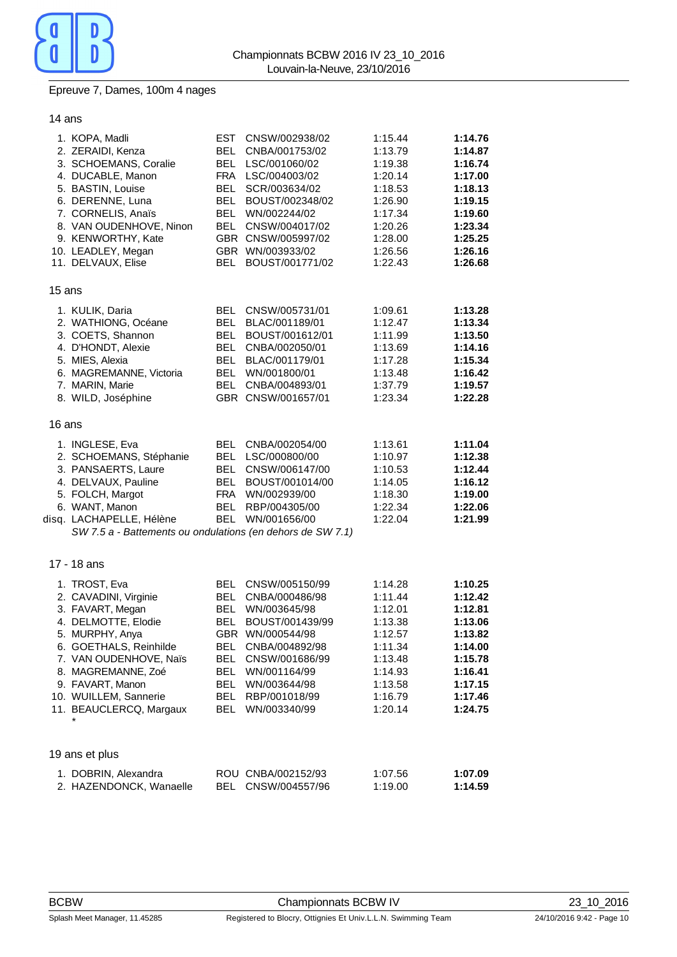

### Epreuve 7, Dames, 100m 4 nages

### 14 ans

|        | 1. KOPA, Madli<br>2. ZERAIDI, Kenza<br>3. SCHOEMANS, Coralie<br>4. DUCABLE, Manon<br>5. BASTIN, Louise<br>6. DERENNE, Luna<br>7. CORNELIS, Anaïs<br>8. VAN OUDENHOVE, Ninon<br>9. KENWORTHY, Kate<br>10. LEADLEY, Megan<br>11. DELVAUX, Elise          | EST<br>BEL<br><b>BEL</b><br>BEL<br>BEL<br><b>BEL</b><br>BEL<br>BEL         | CNSW/002938/02<br>CNBA/001753/02<br>LSC/001060/02<br>FRA LSC/004003/02<br>SCR/003634/02<br>BOUST/002348/02<br>WN/002244/02<br>CNSW/004017/02<br>GBR CNSW/005997/02<br>GBR WN/003933/02<br>BOUST/001771/02 | 1:15.44<br>1:13.79<br>1:19.38<br>1:20.14<br>1:18.53<br>1:26.90<br>1:17.34<br>1:20.26<br>1:28.00<br>1:26.56<br>1:22.43 | 1:14.76<br>1:14.87<br>1:16.74<br>1:17.00<br>1:18.13<br>1:19.15<br>1:19.60<br>1:23.34<br>1:25.25<br>1:26.16<br>1:26.68 |
|--------|--------------------------------------------------------------------------------------------------------------------------------------------------------------------------------------------------------------------------------------------------------|----------------------------------------------------------------------------|-----------------------------------------------------------------------------------------------------------------------------------------------------------------------------------------------------------|-----------------------------------------------------------------------------------------------------------------------|-----------------------------------------------------------------------------------------------------------------------|
| 15 ans |                                                                                                                                                                                                                                                        |                                                                            |                                                                                                                                                                                                           |                                                                                                                       |                                                                                                                       |
|        | 1. KULIK, Daria<br>2. WATHIONG, Océane<br>3. COETS, Shannon<br>4. D'HONDT, Alexie<br>5. MIES, Alexia<br>6. MAGREMANNE, Victoria<br>7. MARIN, Marie<br>8. WILD, Joséphine                                                                               | BEL<br><b>BEL</b><br>BEL<br>BEL<br><b>BEL</b><br>BEL<br><b>BEL</b>         | CNSW/005731/01<br>BLAC/001189/01<br>BOUST/001612/01<br>CNBA/002050/01<br>BLAC/001179/01<br>WN/001800/01<br>CNBA/004893/01<br>GBR CNSW/001657/01                                                           | 1:09.61<br>1:12.47<br>1:11.99<br>1:13.69<br>1:17.28<br>1:13.48<br>1:37.79<br>1:23.34                                  | 1:13.28<br>1:13.34<br>1:13.50<br>1:14.16<br>1:15.34<br>1:16.42<br>1:19.57<br>1:22.28                                  |
| 16 ans |                                                                                                                                                                                                                                                        |                                                                            |                                                                                                                                                                                                           |                                                                                                                       |                                                                                                                       |
|        | 1. INGLESE, Eva<br>2. SCHOEMANS, Stéphanie<br>3. PANSAERTS, Laure<br>4. DELVAUX, Pauline<br>5. FOLCH, Margot<br>6. WANT, Manon<br>disq. LACHAPELLE, Hélène<br>SW 7.5 a - Battements ou ondulations (en dehors de SW 7.1)                               | BEL<br>BEL<br>BEL<br>BEL<br><b>BEL</b>                                     | CNBA/002054/00<br>LSC/000800/00<br>CNSW/006147/00<br>BOUST/001014/00<br>FRA WN/002939/00<br>RBP/004305/00<br>BEL WN/001656/00                                                                             | 1:13.61<br>1:10.97<br>1:10.53<br>1:14.05<br>1:18.30<br>1:22.34<br>1:22.04                                             | 1:11.04<br>1:12.38<br>1:12.44<br>1:16.12<br>1:19.00<br>1:22.06<br>1:21.99                                             |
|        | 17 - 18 ans                                                                                                                                                                                                                                            |                                                                            |                                                                                                                                                                                                           |                                                                                                                       |                                                                                                                       |
|        | 1. TROST, Eva<br>2. CAVADINI, Virginie<br>3. FAVART, Megan<br>4. DELMOTTE, Elodie<br>5. MURPHY, Anya<br>6. GOETHALS, Reinhilde<br>7. VAN OUDENHOVE, Naïs<br>8. MAGREMANNE, Zoé<br>9. FAVART, Manon<br>10. WUILLEM, Sannerie<br>11. BEAUCLERCQ, Margaux | BEL<br>BEL<br>BEL<br>BEL<br>BEL.<br><b>BEL</b><br>BEL<br>BEL<br>BEL<br>BEL | CNSW/005150/99<br>CNBA/000486/98<br>WN/003645/98<br>BOUST/001439/99<br>GBR WN/000544/98<br>CNBA/004892/98<br>CNSW/001686/99<br>WN/001164/99<br>WN/003644/98<br>RBP/001018/99<br>WN/003340/99              | 1:14.28<br>1:11.44<br>1:12.01<br>1:13.38<br>1:12.57<br>1:11.34<br>1:13.48<br>1:14.93<br>1:13.58<br>1:16.79<br>1:20.14 | 1:10.25<br>1:12.42<br>1:12.81<br>1:13.06<br>1:13.82<br>1:14.00<br>1:15.78<br>1:16.41<br>1:17.15<br>1:17.46<br>1:24.75 |
|        | 19 ans et plus                                                                                                                                                                                                                                         |                                                                            |                                                                                                                                                                                                           |                                                                                                                       |                                                                                                                       |
|        | 1. DOBRIN, Alexandra<br>2. HAZENDONCK, Wanaelle                                                                                                                                                                                                        |                                                                            | ROU CNBA/002152/93<br>BEL CNSW/004557/96                                                                                                                                                                  | 1:07.56<br>1:19.00                                                                                                    | 1:07.09<br>1:14.59                                                                                                    |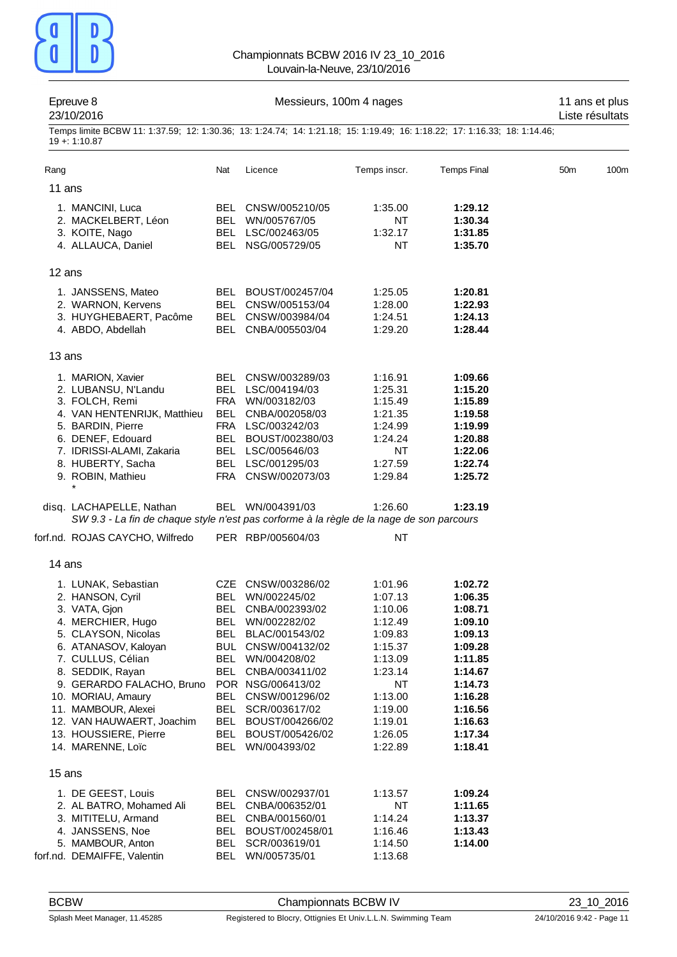

|        | Epreuve 8<br>23/10/2016                                                                                                                                                                                                                                                                                                    |     | Messieurs, 100m 4 nages                                                                                                                                                                                                                                                                                  |                                                                                                                                                   |                                                                                                                                                        |                 |      |
|--------|----------------------------------------------------------------------------------------------------------------------------------------------------------------------------------------------------------------------------------------------------------------------------------------------------------------------------|-----|----------------------------------------------------------------------------------------------------------------------------------------------------------------------------------------------------------------------------------------------------------------------------------------------------------|---------------------------------------------------------------------------------------------------------------------------------------------------|--------------------------------------------------------------------------------------------------------------------------------------------------------|-----------------|------|
|        | Temps limite BCBW 11: 1:37.59; 12: 1:30.36; 13: 1:24.74; 14: 1:21.18; 15: 1:19.49; 16: 1:18.22; 17: 1:16.33; 18: 1:14.46;<br>$19 + 1:10.87$                                                                                                                                                                                |     |                                                                                                                                                                                                                                                                                                          |                                                                                                                                                   |                                                                                                                                                        |                 |      |
| Rang   |                                                                                                                                                                                                                                                                                                                            | Nat | Licence                                                                                                                                                                                                                                                                                                  | Temps inscr.                                                                                                                                      | <b>Temps Final</b>                                                                                                                                     | 50 <sub>m</sub> | 100m |
| 11 ans |                                                                                                                                                                                                                                                                                                                            |     |                                                                                                                                                                                                                                                                                                          |                                                                                                                                                   |                                                                                                                                                        |                 |      |
|        | 1. MANCINI, Luca<br>2. MACKELBERT, Léon<br>3. KOITE, Nago<br>4. ALLAUCA, Daniel                                                                                                                                                                                                                                            |     | BEL CNSW/005210/05<br>BEL WN/005767/05<br>BEL LSC/002463/05<br>BEL NSG/005729/05                                                                                                                                                                                                                         | 1:35.00<br>NT<br>1:32.17<br><b>NT</b>                                                                                                             | 1:29.12<br>1:30.34<br>1:31.85<br>1:35.70                                                                                                               |                 |      |
| 12 ans |                                                                                                                                                                                                                                                                                                                            |     |                                                                                                                                                                                                                                                                                                          |                                                                                                                                                   |                                                                                                                                                        |                 |      |
|        | 1. JANSSENS, Mateo<br>2. WARNON, Kervens<br>3. HUYGHEBAERT, Pacôme<br>4. ABDO, Abdellah                                                                                                                                                                                                                                    |     | BEL BOUST/002457/04<br>BEL CNSW/005153/04<br>BEL CNSW/003984/04<br>BEL CNBA/005503/04                                                                                                                                                                                                                    | 1:25.05<br>1:28.00<br>1:24.51<br>1:29.20                                                                                                          | 1:20.81<br>1:22.93<br>1:24.13<br>1:28.44                                                                                                               |                 |      |
| 13 ans |                                                                                                                                                                                                                                                                                                                            |     |                                                                                                                                                                                                                                                                                                          |                                                                                                                                                   |                                                                                                                                                        |                 |      |
|        | 1. MARION, Xavier<br>2. LUBANSU, N'Landu<br>3. FOLCH, Remi<br>4. VAN HENTENRIJK, Matthieu<br>5. BARDIN, Pierre<br>6. DENEF, Edouard<br>7. IDRISSI-ALAMI, Zakaria<br>8. HUBERTY, Sacha<br>9. ROBIN, Mathieu<br>$\star$                                                                                                      |     | BEL CNSW/003289/03<br>BEL LSC/004194/03<br>FRA WN/003182/03<br>BEL CNBA/002058/03<br>FRA LSC/003242/03<br>BEL BOUST/002380/03<br>BEL LSC/005646/03<br>BEL LSC/001295/03<br>FRA CNSW/002073/03                                                                                                            | 1:16.91<br>1:25.31<br>1:15.49<br>1:21.35<br>1:24.99<br>1:24.24<br><b>NT</b><br>1:27.59<br>1:29.84                                                 | 1:09.66<br>1:15.20<br>1:15.89<br>1:19.58<br>1:19.99<br>1:20.88<br>1:22.06<br>1:22.74<br>1:25.72                                                        |                 |      |
|        | disq. LACHAPELLE, Nathan<br>SW 9.3 - La fin de chaque style n'est pas corforme à la règle de la nage de son parcours                                                                                                                                                                                                       |     | BEL WN/004391/03                                                                                                                                                                                                                                                                                         | 1:26.60                                                                                                                                           | 1:23.19                                                                                                                                                |                 |      |
|        | forf.nd. ROJAS CAYCHO, Wilfredo                                                                                                                                                                                                                                                                                            |     | PER RBP/005604/03                                                                                                                                                                                                                                                                                        | <b>NT</b>                                                                                                                                         |                                                                                                                                                        |                 |      |
| 14 ans |                                                                                                                                                                                                                                                                                                                            |     |                                                                                                                                                                                                                                                                                                          |                                                                                                                                                   |                                                                                                                                                        |                 |      |
|        | 1. LUNAK, Sebastian<br>2. HANSON, Cyril<br>3. VATA, Gjon<br>4. MERCHIER, Hugo<br>5. CLAYSON, Nicolas<br>6. ATANASOV, Kaloyan<br>7. CULLUS, Célian<br>8. SEDDIK, Rayan<br>9. GERARDO FALACHO, Bruno<br>10. MORIAU, Amaury<br>11. MAMBOUR, Alexei<br>12. VAN HAUWAERT, Joachim<br>13. HOUSSIERE, Pierre<br>14. MARENNE, Loïc |     | CZE CNSW/003286/02<br>BEL WN/002245/02<br>BEL CNBA/002393/02<br>BEL WN/002282/02<br>BEL BLAC/001543/02<br>BUL CNSW/004132/02<br>BEL WN/004208/02<br>BEL CNBA/003411/02<br>POR NSG/006413/02<br>BEL CNSW/001296/02<br>BEL SCR/003617/02<br>BEL BOUST/004266/02<br>BEL BOUST/005426/02<br>BEL WN/004393/02 | 1:01.96<br>1:07.13<br>1:10.06<br>1:12.49<br>1:09.83<br>1:15.37<br>1:13.09<br>1:23.14<br>NT<br>1:13.00<br>1:19.00<br>1:19.01<br>1:26.05<br>1:22.89 | 1:02.72<br>1:06.35<br>1:08.71<br>1:09.10<br>1:09.13<br>1:09.28<br>1:11.85<br>1:14.67<br>1:14.73<br>1:16.28<br>1:16.56<br>1:16.63<br>1:17.34<br>1:18.41 |                 |      |
| 15 ans |                                                                                                                                                                                                                                                                                                                            |     |                                                                                                                                                                                                                                                                                                          |                                                                                                                                                   |                                                                                                                                                        |                 |      |
|        | 1. DE GEEST, Louis<br>2. AL BATRO, Mohamed Ali<br>3. MITITELU, Armand<br>4. JANSSENS, Noe<br>5. MAMBOUR, Anton<br>forf.nd. DEMAIFFE, Valentin                                                                                                                                                                              |     | BEL CNSW/002937/01<br>BEL CNBA/006352/01<br>BEL CNBA/001560/01<br>BEL BOUST/002458/01<br>BEL SCR/003619/01<br>BEL WN/005735/01                                                                                                                                                                           | 1:13.57<br>NT<br>1:14.24<br>1:16.46<br>1:14.50<br>1:13.68                                                                                         | 1:09.24<br>1:11.65<br>1:13.37<br>1:13.43<br>1:14.00                                                                                                    |                 |      |

BCBW Championnats BCBW IV 23\_10\_2016